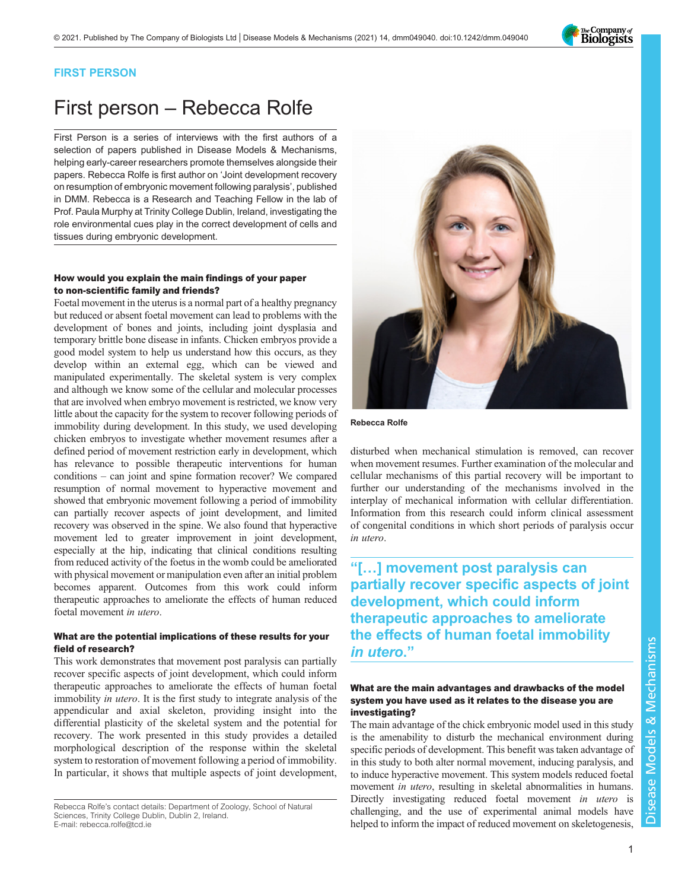

## FIRST PERSON

# First person – Rebecca Rolfe

First Person is a series of interviews with the first authors of a selection of papers published in Disease Models & Mechanisms, helping early-career researchers promote themselves alongside their papers. Rebecca Rolfe is first author on '[Joint development recovery](#page-1-0) [on resumption of embryonic movement following paralysis](#page-1-0)', published in DMM. Rebecca is a Research and Teaching Fellow in the lab of Prof. Paula Murphy at Trinity College Dublin, Ireland, investigating the role environmental cues play in the correct development of cells and tissues during embryonic development.

## How would you explain the main findings of your paper to non-scientific family and friends?

Foetal movement in the uterus is a normal part of a healthy pregnancy but reduced or absent foetal movement can lead to problems with the development of bones and joints, including joint dysplasia and temporary brittle bone disease in infants. Chicken embryos provide a good model system to help us understand how this occurs, as they develop within an external egg, which can be viewed and manipulated experimentally. The skeletal system is very complex and although we know some of the cellular and molecular processes that are involved when embryo movement is restricted, we know very little about the capacity for the system to recover following periods of immobility during development. In this study, we used developing chicken embryos to investigate whether movement resumes after a defined period of movement restriction early in development, which has relevance to possible therapeutic interventions for human conditions – can joint and spine formation recover? We compared resumption of normal movement to hyperactive movement and showed that embryonic movement following a period of immobility can partially recover aspects of joint development, and limited recovery was observed in the spine. We also found that hyperactive movement led to greater improvement in joint development, especially at the hip, indicating that clinical conditions resulting from reduced activity of the foetus in the womb could be ameliorated with physical movement or manipulation even after an initial problem becomes apparent. Outcomes from this work could inform therapeutic approaches to ameliorate the effects of human reduced foetal movement in utero.

## What are the potential implications of these results for your field of research?

This work demonstrates that movement post paralysis can partially recover specific aspects of joint development, which could inform therapeutic approaches to ameliorate the effects of human foetal immobility in utero. It is the first study to integrate analysis of the appendicular and axial skeleton, providing insight into the differential plasticity of the skeletal system and the potential for recovery. The work presented in this study provides a detailed morphological description of the response within the skeletal system to restoration of movement following a period of immobility. In particular, it shows that multiple aspects of joint development,



Rebecca Rolfe

disturbed when mechanical stimulation is removed, can recover when movement resumes. Further examination of the molecular and cellular mechanisms of this partial recovery will be important to further our understanding of the mechanisms involved in the interplay of mechanical information with cellular differentiation. Information from this research could inform clinical assessment of congenital conditions in which short periods of paralysis occur in utero.

"[…] movement post paralysis can partially recover specific aspects of joint development, which could inform therapeutic approaches to ameliorate the effects of human foetal immobility in utero."

## What are the main advantages and drawbacks of the model system you have used as it relates to the disease you are investigating?

The main advantage of the chick embryonic model used in this study is the amenability to disturb the mechanical environment during specific periods of development. This benefit was taken advantage of in this study to both alter normal movement, inducing paralysis, and to induce hyperactive movement. This system models reduced foetal movement in utero, resulting in skeletal abnormalities in humans. Directly investigating reduced foetal movement in utero is challenging, and the use of experimental animal models have helped to inform the impact of reduced movement on skeletogenesis,

Rebecca Rolfe's contact details: Department of Zoology, School of Natural Sciences, Trinity College Dublin, Dublin 2, Ireland. E-mail: [rebecca.rolfe@tcd.ie](mailto:rebecca.rolfe@tcd.ie)